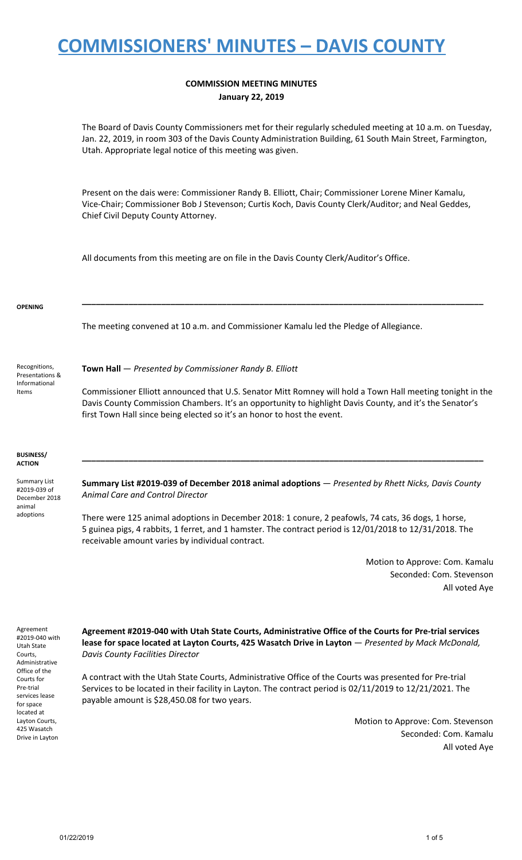### **COMMISSION MEETING MINUTES January 22, 2019**

The Board of Davis County Commissioners met for their regularly scheduled meeting at 10 a.m. on Tuesday, Jan. 22, 2019, in room 303 of the Davis County Administration Building, 61 South Main Street, Farmington, Utah. Appropriate legal notice of this meeting was given.

Present on the dais were: Commissioner Randy B. Elliott, Chair; Commissioner Lorene Miner Kamalu, Vice-Chair; Commissioner Bob J Stevenson; Curtis Koch, Davis County Clerk/Auditor; and Neal Geddes, Chief Civil Deputy County Attorney.

All documents from this meeting are on file in the Davis County Clerk/Auditor's Office.

#### **OPENING**

The meeting convened at 10 a.m. and Commissioner Kamalu led the Pledge of Allegiance.

Recognitions, Presentations & Informational Items

**Town Hall** — *Presented by Commissioner Randy B. Elliott*

Commissioner Elliott announced that U.S. Senator Mitt Romney will hold a Town Hall meeting tonight in the Davis County Commission Chambers. It's an opportunity to highlight Davis County, and it's the Senator's first Town Hall since being elected so it's an honor to host the event.

**\_\_\_\_\_\_\_\_\_\_\_\_\_\_\_\_\_\_\_\_\_\_\_\_\_\_\_\_\_\_\_\_\_\_\_\_\_\_\_\_\_\_\_\_\_\_\_\_\_\_\_\_\_\_\_\_\_\_\_\_\_\_\_\_\_\_\_\_\_\_\_\_\_\_\_\_\_\_\_\_\_\_\_\_\_\_**

#### **BUSINESS/ ACTION**

Summary List #2019-039 of December 2018 animal adoptions

**Summary List #2019-039 of December 2018 animal adoptions** — *Presented by Rhett Nicks, Davis County Animal Care and Control Director*

**\_\_\_\_\_\_\_\_\_\_\_\_\_\_\_\_\_\_\_\_\_\_\_\_\_\_\_\_\_\_\_\_\_\_\_\_\_\_\_\_\_\_\_\_\_\_\_\_\_\_\_\_\_\_\_\_\_\_\_\_\_\_\_\_\_\_\_\_\_\_\_\_\_\_\_\_\_\_\_\_\_\_\_\_\_\_**

There were 125 animal adoptions in December 2018: 1 conure, 2 peafowls, 74 cats, 36 dogs, 1 horse, 5 guinea pigs, 4 rabbits, 1 ferret, and 1 hamster. The contract period is 12/01/2018 to 12/31/2018. The receivable amount varies by individual contract.

> Motion to Approve: Com. Kamalu Seconded: Com. Stevenson All voted Aye

Agreement #2019-040 with Utah State Courts, Administrative Office of the Courts for Pre-trial services lease for space located at Layton Courts, 425 Wasatch Drive in Layton

**Agreement #2019-040 with Utah State Courts, Administrative Office of the Courts for Pre-trial services lease for space located at Layton Courts, 425 Wasatch Drive in Layton** — *Presented by Mack McDonald, Davis County Facilities Director*

A contract with the Utah State Courts, Administrative Office of the Courts was presented for Pre-trial Services to be located in their facility in Layton. The contract period is 02/11/2019 to 12/21/2021. The payable amount is \$28,450.08 for two years.

> Motion to Approve: Com. Stevenson Seconded: Com. Kamalu All voted Aye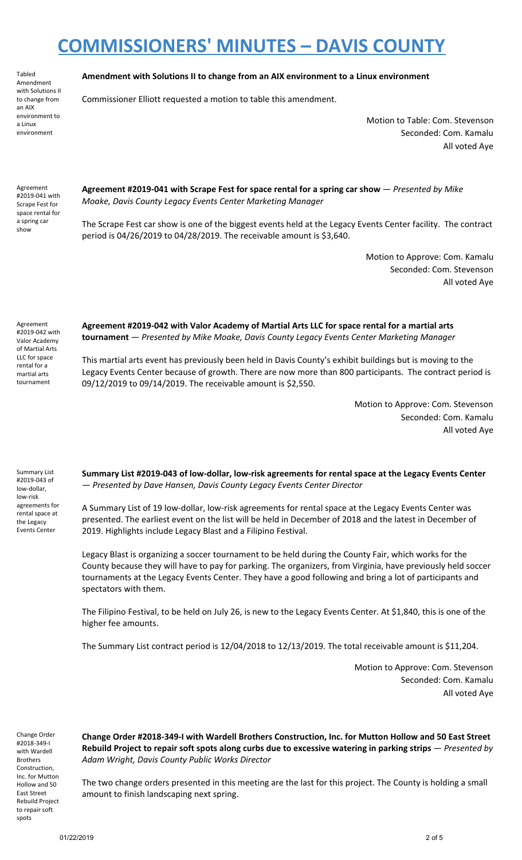Tabled Amendment with Solutions II to change from an AIX environment to a Linux environment

### **Amendment with Solutions II to change from an AIX environment to a Linux environment**

Commissioner Elliott requested a motion to table this amendment.

Motion to Table: Com. Stevenson Seconded: Com. Kamalu All voted Aye

Agreement #2019-041 with Scrape Fest for space rental for a spring car show

**Agreement #2019-041 with Scrape Fest for space rental for a spring car show** — *Presented by Mike Moake, Davis County Legacy Events Center Marketing Manager*

The Scrape Fest car show is one of the biggest events held at the Legacy Events Center facility. The contract period is 04/26/2019 to 04/28/2019. The receivable amount is \$3,640.

> Motion to Approve: Com. Kamalu Seconded: Com. Stevenson All voted Aye

Agreement #2019-042 with Valor Academy of Martial Arts LLC for space rental for a martial arts tournament

**Agreement #2019-042 with Valor Academy of Martial Arts LLC for space rental for a martial arts tournament** — *Presented by Mike Moake, Davis County Legacy Events Center Marketing Manager*

This martial arts event has previously been held in Davis County's exhibit buildings but is moving to the Legacy Events Center because of growth. There are now more than 800 participants. The contract period is 09/12/2019 to 09/14/2019. The receivable amount is \$2,550.

> Motion to Approve: Com. Stevenson Seconded: Com. Kamalu All voted Aye

Summary List #2019-043 of low-dollar, low-risk agreements for rental space at the Legacy Events Center

**Summary List #2019-043 of low-dollar, low-risk agreements for rental space at the Legacy Events Center** — *Presented by Dave Hansen, Davis County Legacy Events Center Director*

A Summary List of 19 low-dollar, low-risk agreements for rental space at the Legacy Events Center was presented. The earliest event on the list will be held in December of 2018 and the latest in December of 2019. Highlights include Legacy Blast and a Filipino Festival.

Legacy Blast is organizing a soccer tournament to be held during the County Fair, which works for the County because they will have to pay for parking. The organizers, from Virginia, have previously held soccer tournaments at the Legacy Events Center. They have a good following and bring a lot of participants and spectators with them.

The Filipino Festival, to be held on July 26, is new to the Legacy Events Center. At \$1,840, this is one of the higher fee amounts.

The Summary List contract period is 12/04/2018 to 12/13/2019. The total receivable amount is \$11,204.

Motion to Approve: Com. Stevenson Seconded: Com. Kamalu All voted Aye

Change Order #2018-349-I with Wardell Brothers Construction, Inc. for Mutton Hollow and 50 East Street Rebuild Project to repair soft spots

**Change Order #2018-349-I with Wardell Brothers Construction, Inc. for Mutton Hollow and 50 East Street** Rebuild Project to repair soft spots along curbs due to excessive watering in parking strips – Presented by *Adam Wright, Davis County Public Works Director*

The two change orders presented in this meeting are the last for this project. The County is holding a small amount to finish landscaping next spring.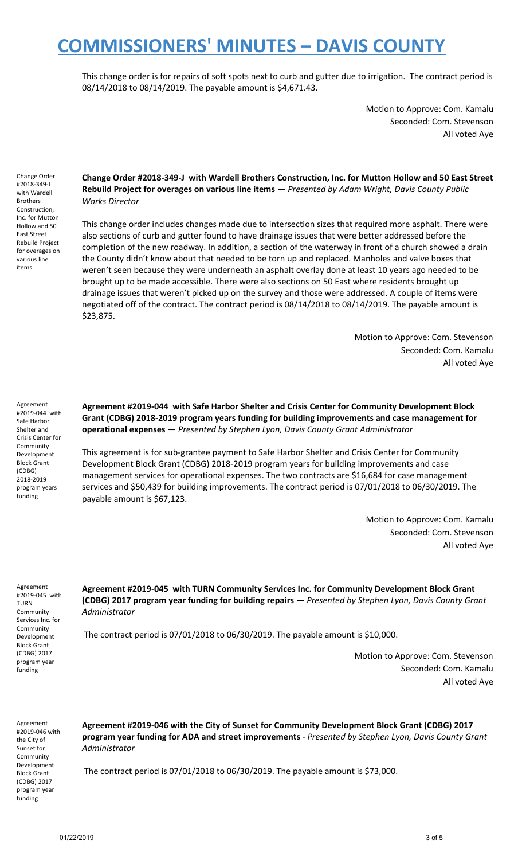This change order is for repairs of soft spots next to curb and gutter due to irrigation. The contract period is 08/14/2018 to 08/14/2019. The payable amount is \$4,671.43.

> Motion to Approve: Com. Kamalu Seconded: Com. Stevenson All voted Aye

Change Order #2018-349-J with Wardell Brothers Construction, Inc. for Mutton Hollow and 50 East Street Rebuild Project for overages on various line items

**Change Order #2018-349-J with Wardell Brothers Construction, Inc. for Mutton Hollow and 50 East Street Rebuild Project for overages on various line items** — *Presented by Adam Wright, Davis County Public Works Director*

This change order includes changes made due to intersection sizes that required more asphalt. There were also sections of curb and gutter found to have drainage issues that were better addressed before the completion of the new roadway. In addition, a section of the waterway in front of a church showed a drain the County didn't know about that needed to be torn up and replaced. Manholes and valve boxes that weren't seen because they were underneath an asphalt overlay done at least 10 years ago needed to be brought up to be made accessible. There were also sections on 50 East where residents brought up drainage issues that weren't picked up on the survey and those were addressed. A couple of items were negotiated off of the contract. The contract period is 08/14/2018 to 08/14/2019. The payable amount is \$23,875.

> Motion to Approve: Com. Stevenson Seconded: Com. Kamalu All voted Aye

Agreement #2019-044 with Safe Harbor Shelter and Crisis Center for Community Development Block Grant (CDBG) 2018-2019 program years funding

**Agreement #2019-044 with Safe Harbor Shelter and Crisis Center for Community Development Block Grant (CDBG) 2018-2019 program years funding for building improvements and case management for operational expenses** — *Presented by Stephen Lyon, Davis County Grant Administrator*

This agreement is for sub-grantee payment to Safe Harbor Shelter and Crisis Center for Community Development Block Grant (CDBG) 2018-2019 program years for building improvements and case management services for operational expenses. The two contracts are \$16,684 for case management services and \$50,439 for building improvements. The contract period is 07/01/2018 to 06/30/2019. The payable amount is \$67,123.

> Motion to Approve: Com. Kamalu Seconded: Com. Stevenson All voted Aye

Agreement #2019-045 with TURN Community Services Inc. for Community Development Block Grant (CDBG) 2017 program year funding

**Agreement #2019-045 with TURN Community Services Inc. for Community Development Block Grant (CDBG) 2017 program year funding for building repairs** — *Presented by Stephen Lyon, Davis County Grant Administrator*

The contract period is 07/01/2018 to 06/30/2019. The payable amount is \$10,000.

Motion to Approve: Com. Stevenson Seconded: Com. Kamalu All voted Aye

Agreement #2019-046 with the City of Sunset for **Community** Development Block Grant (CDBG) 2017 program year funding

**Agreement #2019-046 with the City of Sunset for Community Development Block Grant (CDBG) 2017 program year funding for ADA and street improvements** - *Presented by Stephen Lyon, Davis County Grant Administrator*

The contract period is 07/01/2018 to 06/30/2019. The payable amount is \$73,000.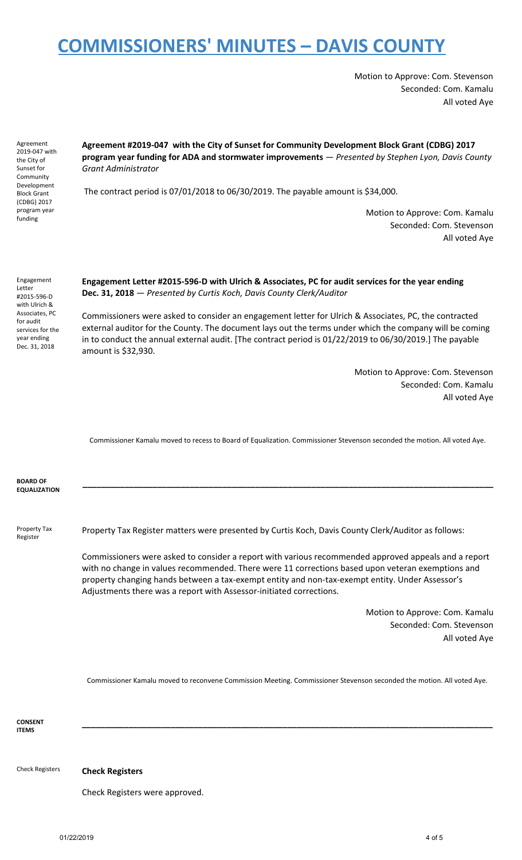Motion to Approve: Com. Stevenson Seconded: Com. Kamalu All voted Aye

Agreement 2019-047 with the City of Sunset for Community Development Block Grant (CDBG) 2017 program year funding

**Agreement #2019-047 with the City of Sunset for Community Development Block Grant (CDBG) 2017 program year funding for ADA and stormwater improvements** — *Presented by Stephen Lyon, Davis County Grant Administrator*

The contract period is 07/01/2018 to 06/30/2019. The payable amount is \$34,000.

Motion to Approve: Com. Kamalu Seconded: Com. Stevenson All voted Aye

Engagement Letter #2015-596-D with Ulrich & Associates, PC for audit services for the year ending Dec. 31, 2018

**Engagement Letter #2015-596-D with Ulrich & Associates, PC for audit services for the year ending Dec. 31, 2018** — *Presented by Curtis Koch, Davis County Clerk/Auditor*

Commissioners were asked to consider an engagement letter for Ulrich & Associates, PC, the contracted external auditor for the County. The document lays out the terms under which the company will be coming in to conduct the annual external audit. [The contract period is 01/22/2019 to 06/30/2019.] The payable amount is \$32,930.

> Motion to Approve: Com. Stevenson Seconded: Com. Kamalu All voted Aye

Commissioner Kamalu moved to recess to Board of Equalization. Commissioner Stevenson seconded the motion. All voted Aye.

**BOARD OF EQUALIZATION \_\_\_\_\_\_\_\_\_\_\_\_\_\_\_\_\_\_\_\_\_\_\_\_\_\_\_\_\_\_\_\_\_\_\_\_\_\_\_\_\_\_\_\_\_\_\_\_\_\_\_\_\_\_\_\_\_\_\_\_\_\_\_\_\_\_\_\_\_\_\_\_\_\_\_\_\_\_\_\_\_\_\_\_\_\_\_\_** Property Tax Register Property Tax Register matters were presented by Curtis Koch, Davis County Clerk/Auditor as follows: Commissioners were asked to consider a report with various recommended approved appeals and a report with no change in values recommended. There were 11 corrections based upon veteran exemptions and property changing hands between a tax-exempt entity and non-tax-exempt entity. Under Assessor's Adjustments there was a report with Assessor-initiated corrections.

> Motion to Approve: Com. Kamalu Seconded: Com. Stevenson All voted Aye

Commissioner Kamalu moved to reconvene Commission Meeting. Commissioner Stevenson seconded the motion. All voted Aye.

**\_\_\_\_\_\_\_\_\_\_\_\_\_\_\_\_\_\_\_\_\_\_\_\_\_\_\_\_\_\_\_\_\_\_\_\_\_\_\_\_\_\_\_\_\_\_\_\_\_\_\_\_\_\_\_\_\_\_\_\_\_\_\_\_\_\_\_\_\_\_\_\_\_\_\_\_\_\_\_\_\_\_\_\_\_\_\_\_**

**CONSENT ITEMS**

Check Registers **Check Registers**

Check Registers were approved.